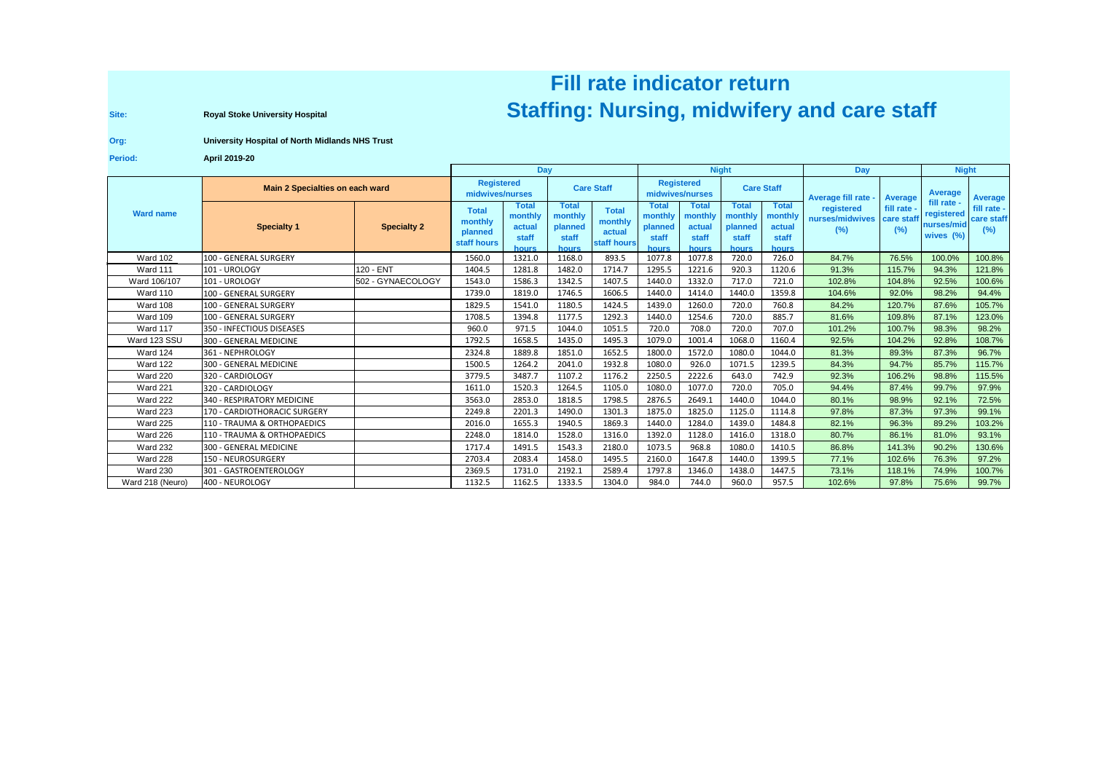## **Fill rate indicator returnRoyal Stoke University Hospital Region Concepts and Care Staff** (Nursing, midwifery and care staff

**Site:**

**Org:University Hospital of North Midlands NHS Trust**

**Period:April 2019-20**

|                  |                                 |                    | <b>Day</b>                                        |                                                            |                                               |                                                  | <b>Night</b>                                         |                                              |                                               |                                                     | Day                                  |                                 | <b>Night</b>                                         |                                  |
|------------------|---------------------------------|--------------------|---------------------------------------------------|------------------------------------------------------------|-----------------------------------------------|--------------------------------------------------|------------------------------------------------------|----------------------------------------------|-----------------------------------------------|-----------------------------------------------------|--------------------------------------|---------------------------------|------------------------------------------------------|----------------------------------|
| <b>Ward name</b> | Main 2 Specialties on each ward |                    | <b>Registered</b><br>midwives/nurses              |                                                            | <b>Care Staff</b>                             |                                                  | <b>Registered</b><br>midwives/nurses                 |                                              | <b>Care Staff</b>                             |                                                     | Average fill rate                    | Average                         | <b>Average</b>                                       | <b>Average</b>                   |
|                  | <b>Specialty 1</b>              | <b>Specialty 2</b> | <b>Total</b><br>monthly<br>planned<br>staff hours | <b>Total</b><br>monthly<br>actual<br>staff<br><b>hours</b> | Total<br>monthly<br>planned<br>staff<br>hours | <b>Total</b><br>monthly<br>actual<br>staff hours | <b>Total</b><br>monthly<br>planned<br>staff<br>hours | Total<br>monthly<br>actual<br>staff<br>hours | Total<br>monthly<br>planned<br>staff<br>hours | <b>Total</b><br>monthly<br>actual<br>staff<br>hours | registered<br>nurses/midwives<br>(%) | fill rate -<br>care staf<br>(%) | fill rate -<br>registered<br>nurses/mid<br>wives (%) | fill rate -<br>care staff<br>(%) |
| <b>Ward 102</b>  | 100 - GENERAL SURGERY           |                    | 1560.0                                            | 1321.0                                                     | 1168.0                                        | 893.5                                            | 1077.8                                               | 1077.8                                       | 720.0                                         | 726.0                                               | 84.7%                                | 76.5%                           | 100.0%                                               | 100.8%                           |
| Ward 111         | 101 - UROLOGY                   | 120 - ENT          | 1404.5                                            | 1281.8                                                     | 1482.0                                        | 1714.7                                           | 1295.5                                               | 1221.6                                       | 920.3                                         | 1120.6                                              | 91.3%                                | 115.7%                          | 94.3%                                                | 121.8%                           |
| Ward 106/107     | 101 - UROLOGY                   | 502 - GYNAECOLOGY  | 1543.0                                            | 1586.3                                                     | 1342.5                                        | 1407.5                                           | 1440.0                                               | 1332.0                                       | 717.0                                         | 721.0                                               | 102.8%                               | 104.8%                          | 92.5%                                                | 100.6%                           |
| Ward 110         | 100 - GENERAL SURGERY           |                    | 1739.0                                            | 1819.0                                                     | 1746.5                                        | 1606.5                                           | 1440.0                                               | 1414.0                                       | 1440.0                                        | 1359.8                                              | 104.6%                               | 92.0%                           | 98.2%                                                | 94.4%                            |
| Ward 108         | 100 - GENERAL SURGERY           |                    | 1829.5                                            | 1541.0                                                     | 1180.5                                        | 1424.5                                           | 1439.0                                               | 1260.0                                       | 720.0                                         | 760.8                                               | 84.2%                                | 120.7%                          | 87.6%                                                | 105.7%                           |
| Ward 109         | 100 - GENERAL SURGERY           |                    | 1708.5                                            | 1394.8                                                     | 1177.5                                        | 1292.3                                           | 1440.0                                               | 1254.6                                       | 720.0                                         | 885.7                                               | 81.6%                                | 109.8%                          | 87.1%                                                | 123.0%                           |
| Ward 117         | 350 - INFECTIOUS DISEASES       |                    | 960.0                                             | 971.5                                                      | 1044.0                                        | 1051.5                                           | 720.0                                                | 708.0                                        | 720.0                                         | 707.0                                               | 101.2%                               | 100.7%                          | 98.3%                                                | 98.2%                            |
| Ward 123 SSU     | 300 - GENERAL MEDICINE          |                    | 1792.5                                            | 1658.5                                                     | 1435.0                                        | 1495.3                                           | 1079.0                                               | 1001.4                                       | 1068.0                                        | 1160.4                                              | 92.5%                                | 104.2%                          | 92.8%                                                | 108.7%                           |
| Ward 124         | 361 - NEPHROLOGY                |                    | 2324.8                                            | 1889.8                                                     | 1851.0                                        | 1652.5                                           | 1800.0                                               | 1572.0                                       | 1080.0                                        | 1044.0                                              | 81.3%                                | 89.3%                           | 87.3%                                                | 96.7%                            |
| Ward 122         | 300 - GENERAL MEDICINE          |                    | 1500.5                                            | 1264.2                                                     | 2041.0                                        | 1932.8                                           | 1080.0                                               | 926.0                                        | 1071.5                                        | 1239.5                                              | 84.3%                                | 94.7%                           | 85.7%                                                | 115.7%                           |
| Ward 220         | 320 - CARDIOLOGY                |                    | 3779.5                                            | 3487.7                                                     | 1107.2                                        | 1176.2                                           | 2250.5                                               | 2222.6                                       | 643.0                                         | 742.9                                               | 92.3%                                | 106.2%                          | 98.8%                                                | 115.5%                           |
| Ward 221         | 320 - CARDIOLOGY                |                    | 1611.0                                            | 1520.3                                                     | 1264.5                                        | 1105.0                                           | 1080.0                                               | 1077.0                                       | 720.0                                         | 705.0                                               | 94.4%                                | 87.4%                           | 99.7%                                                | 97.9%                            |
| Ward 222         | 340 - RESPIRATORY MEDICINE      |                    | 3563.0                                            | 2853.0                                                     | 1818.5                                        | 1798.5                                           | 2876.5                                               | 2649.1                                       | 1440.0                                        | 1044.0                                              | 80.1%                                | 98.9%                           | 92.1%                                                | 72.5%                            |
| Ward 223         | 170 - CARDIOTHORACIC SURGERY    |                    | 2249.8                                            | 2201.3                                                     | 1490.0                                        | 1301.3                                           | 1875.0                                               | 1825.0                                       | 1125.0                                        | 1114.8                                              | 97.8%                                | 87.3%                           | 97.3%                                                | 99.1%                            |
| Ward 225         | 110 - TRAUMA & ORTHOPAEDICS     |                    | 2016.0                                            | 1655.3                                                     | 1940.5                                        | 1869.3                                           | 1440.0                                               | 1284.0                                       | 1439.0                                        | 1484.8                                              | 82.1%                                | 96.3%                           | 89.2%                                                | 103.2%                           |
| Ward 226         | 110 - TRAUMA & ORTHOPAEDICS     |                    | 2248.0                                            | 1814.0                                                     | 1528.0                                        | 1316.0                                           | 1392.0                                               | 1128.0                                       | 1416.0                                        | 1318.0                                              | 80.7%                                | 86.1%                           | 81.0%                                                | 93.1%                            |
| Ward 232         | 300 - GENERAL MEDICINE          |                    | 1717.4                                            | 1491.5                                                     | 1543.3                                        | 2180.0                                           | 1073.5                                               | 968.8                                        | 1080.0                                        | 1410.5                                              | 86.8%                                | 141.3%                          | 90.2%                                                | 130.6%                           |
| Ward 228         | 150 - NEUROSURGERY              |                    | 2703.4                                            | 2083.4                                                     | 1458.0                                        | 1495.5                                           | 2160.0                                               | 1647.8                                       | 1440.0                                        | 1399.5                                              | 77.1%                                | 102.6%                          | 76.3%                                                | 97.2%                            |
| Ward 230         | 301 - GASTROENTEROLOGY          |                    | 2369.5                                            | 1731.0                                                     | 2192.1                                        | 2589.4                                           | 1797.8                                               | 1346.0                                       | 1438.0                                        | 1447.5                                              | 73.1%                                | 118.1%                          | 74.9%                                                | 100.7%                           |
| Ward 218 (Neuro) | 400 - NEUROLOGY                 |                    | 1132.5                                            | 1162.5                                                     | 1333.5                                        | 1304.0                                           | 984.0                                                | 744.0                                        | 960.0                                         | 957.5                                               | 102.6%                               | 97.8%                           | 75.6%                                                | 99.7%                            |